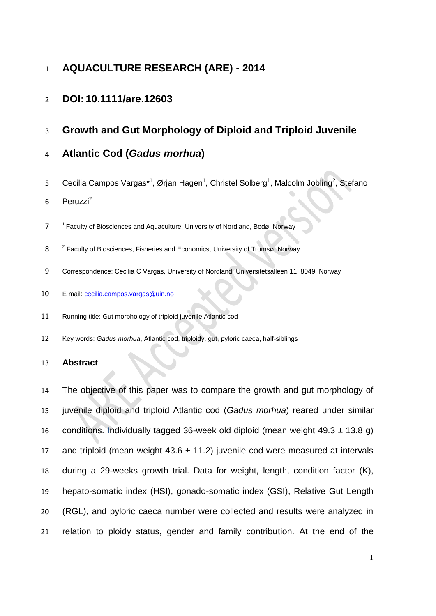# **AQUACULTURE RESEARCH (ARE) - 2014**

# **DOI: 10.1111/are.12603**

**Growth and Gut Morphology of Diploid and Triploid Juvenile** 

# **Atlantic Cod (***Gadus morhua***)**

5 Cecilia Campos Vargas\*<sup>1</sup>, Ørjan Hagen<sup>1</sup>, Christel Solberg<sup>1</sup>, Malcolm Jobling<sup>2</sup>, Stefano

Peruzzi<sup>2</sup> 

- 7 <sup>1</sup> Faculty of Biosciences and Aquaculture, University of Nordland, Bodø, Norway
- 8 <sup>2</sup> Faculty of Biosciences, Fisheries and Economics, University of Tromsø, Norway
- Correspondence: Cecilia C Vargas, University of Nordland, Universitetsalleen 11, 8049, Norway
- E mail: [cecilia.campos.vargas@uin.no](mailto:cecilia.campos.vargas@uin.no)
- Running title: Gut morphology of triploid juvenile Atlantic cod
- Key words: *Gadus morhua*, Atlantic cod, triploidy, gut, pyloric caeca, half-siblings

#### **Abstract**

 The objective of this paper was to compare the growth and gut morphology of juvenile diploid and triploid Atlantic cod (*Gadus morhua*) reared under similar 16 conditions. Individually tagged 36-week old diploid (mean weight  $49.3 \pm 13.8$  g) 17 and triploid (mean weight  $43.6 \pm 11.2$ ) juvenile cod were measured at intervals during a 29-weeks growth trial. Data for weight, length, condition factor (K), hepato-somatic index (HSI), gonado-somatic index (GSI), Relative Gut Length (RGL), and pyloric caeca number were collected and results were analyzed in relation to ploidy status, gender and family contribution. At the end of the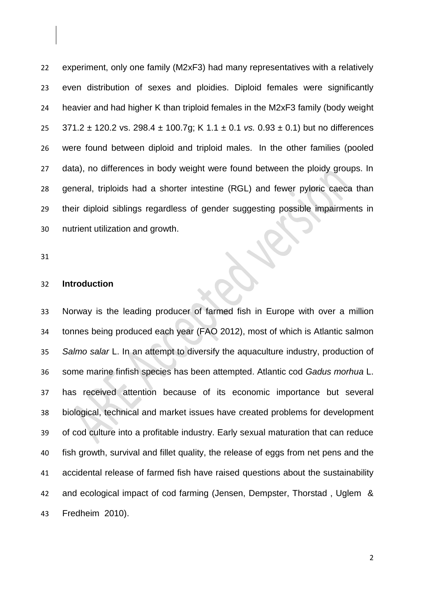experiment, only one family (M2xF3) had many representatives with a relatively even distribution of sexes and ploidies. Diploid females were significantly heavier and had higher K than triploid females in the M2xF3 family (body weight 371.2 ± 120.2 vs. 298.4 ± 100.7g; K 1.1 ± 0.1 *vs.* 0.93 ± 0.1) but no differences were found between diploid and triploid males. In the other families (pooled 27 data), no differences in body weight were found between the ploidy groups. In general, triploids had a shorter intestine (RGL) and fewer pyloric caeca than their diploid siblings regardless of gender suggesting possible impairments in nutrient utilization and growth.

### **Introduction**

 Norway is the leading producer of farmed fish in Europe with over a million tonnes being produced each year (FAO 2012), most of which is Atlantic salmon *Salmo salar* L. In an attempt to diversify the aquaculture industry, production of some marine finfish species has been attempted. Atlantic cod *Gadus morhua* L. has received attention because of its economic importance but several biological, technical and market issues have created problems for development of cod culture into a profitable industry. Early sexual maturation that can reduce fish growth, survival and fillet quality, the release of eggs from net pens and the accidental release of farmed fish have raised questions about the sustainability and ecological impact of cod farming (Jensen, Dempster, Thorstad , Uglem & Fredheim 2010).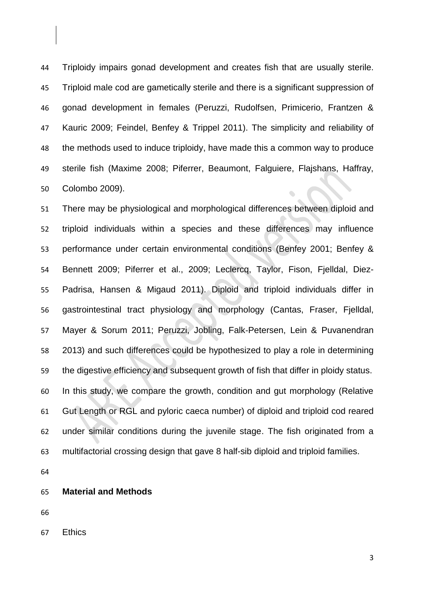Triploidy impairs gonad development and creates fish that are usually sterile. Triploid male cod are gametically sterile and there is a significant suppression of gonad development in females (Peruzzi, Rudolfsen, Primicerio, Frantzen & Kauric 2009; Feindel, Benfey & Trippel 2011). The simplicity and reliability of the methods used to induce triploidy, have made this a common way to produce sterile fish (Maxime 2008; Piferrer, Beaumont, Falguiere, Flajshans, Haffray, Colombo 2009).

 There may be physiological and morphological differences between diploid and triploid individuals within a species and these differences may influence performance under certain environmental conditions (Benfey 2001; Benfey & Bennett 2009; Piferrer et al., 2009; Leclercq, Taylor, Fison, Fjelldal, Diez- Padrisa, Hansen & Migaud 2011). Diploid and triploid individuals differ in gastrointestinal tract physiology and morphology (Cantas, Fraser, Fjelldal, Mayer & Sorum 2011; Peruzzi, Jobling, Falk‐Petersen, Lein & Puvanendran 2013) and such differences could be hypothesized to play a role in determining the digestive efficiency and subsequent growth of fish that differ in ploidy status. In this study, we compare the growth, condition and gut morphology (Relative Gut Length or RGL and pyloric caeca number) of diploid and triploid cod reared under similar conditions during the juvenile stage. The fish originated from a multifactorial crossing design that gave 8 half-sib diploid and triploid families.

- 
- **Material and Methods**

Ethics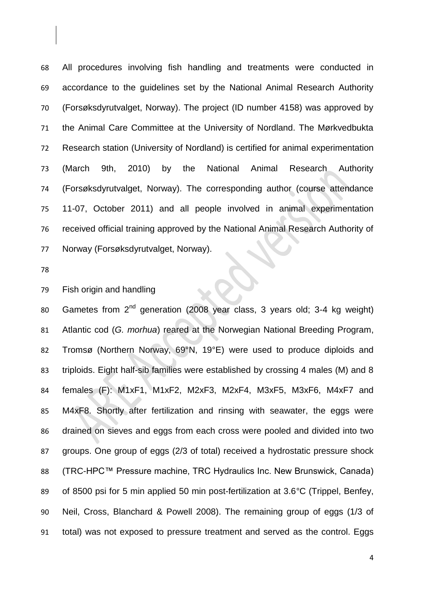All procedures involving fish handling and treatments were conducted in accordance to the guidelines set by the National Animal Research Authority (Forsøksdyrutvalget, Norway). The project (ID number 4158) was approved by the Animal Care Committee at the University of Nordland. The Mørkvedbukta Research station (University of Nordland) is certified for animal experimentation (March 9th, 2010) by the National Animal Research Authority (Forsøksdyrutvalget, Norway). The corresponding author (course attendance 11-07, October 2011) and all people involved in animal experimentation received official training approved by the National Animal Research Authority of Norway (Forsøksdyrutvalget, Norway).

Fish origin and handling

80 Gametes from  $2^{nd}$  generation (2008 year class, 3 years old; 3-4 kg weight) Atlantic cod (*G. morhua*) reared at the Norwegian National Breeding Program, Tromsø (Northern Norway, 69°N, 19°E) were used to produce diploids and triploids. Eight half-sib families were established by crossing 4 males (M) and 8 females (F): M1xF1, M1xF2, M2xF3, M2xF4, M3xF5, M3xF6, M4xF7 and M4xF8. Shortly after fertilization and rinsing with seawater, the eggs were drained on sieves and eggs from each cross were pooled and divided into two groups. One group of eggs (2/3 of total) received a hydrostatic pressure shock 88 (TRC-HPC™ Pressure machine, TRC Hydraulics Inc. New Brunswick, Canada) of 8500 psi for 5 min applied 50 min post-fertilization at 3.6*°*C (Trippel, Benfey, Neil, Cross, Blanchard & Powell 2008). The remaining group of eggs (1/3 of total) was not exposed to pressure treatment and served as the control. Eggs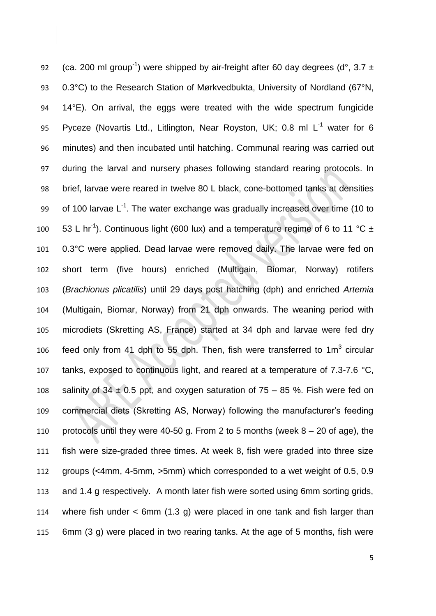92 (ca. 200 ml group<sup>-1</sup>) were shipped by air-freight after 60 day degrees (d°, 3.7  $\pm$  0.3°C) to the Research Station of Mørkvedbukta, University of Nordland (67°N, 14°E). On arrival, the eggs were treated with the wide spectrum fungicide 95 Pyceze (Novartis Ltd., Litlington, Near Royston, UK; 0.8 ml L<sup>-1</sup> water for 6 minutes) and then incubated until hatching. Communal rearing was carried out during the larval and nursery phases following standard rearing protocols. In brief, larvae were reared in twelve 80 L black, cone-bottomed tanks at densities 99 of 100 larvae  $L^{-1}$ . The water exchange was gradually increased over time (10 to 100 53 L hr<sup>-1</sup>). Continuous light (600 lux) and a temperature regime of 6 to 11 °C  $\pm$  0.3°C were applied. Dead larvae were removed daily. The larvae were fed on short term (five hours) enriched (Multigain, Biomar, Norway) rotifers (*Brachionus plicatilis*) until 29 days post hatching (dph) and enriched *Artemia*  (Multigain, Biomar, Norway) from 21 dph onwards. The weaning period with microdiets (Skretting AS, France) started at 34 dph and larvae were fed dry 106 feed only from 41 dph to 55 dph. Then, fish were transferred to 1 $m^3$  circular 107 tanks, exposed to continuous light, and reared at a temperature of 7.3-7.6 °C, 108 salinity of  $34 \pm 0.5$  ppt, and oxygen saturation of  $75 - 85$  %. Fish were fed on commercial diets (Skretting AS, Norway) following the manufacturer's feeding 110 protocols until they were 40-50 g. From 2 to 5 months (week  $8 - 20$  of age), the fish were size-graded three times. At week 8, fish were graded into three size groups (<4mm, 4-5mm, >5mm) which corresponded to a wet weight of 0.5, 0.9 and 1.4 g respectively. A month later fish were sorted using 6mm sorting grids, where fish under < 6mm (1.3 g) were placed in one tank and fish larger than 6mm (3 g) were placed in two rearing tanks. At the age of 5 months, fish were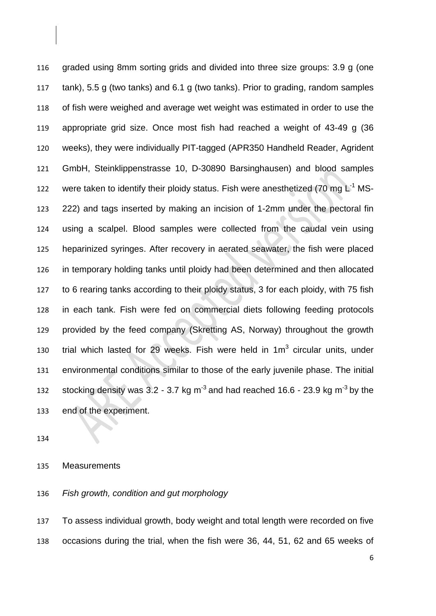graded using 8mm sorting grids and divided into three size groups: 3.9 g (one tank), 5.5 g (two tanks) and 6.1 g (two tanks). Prior to grading, random samples of fish were weighed and average wet weight was estimated in order to use the appropriate grid size. Once most fish had reached a weight of 43-49 g (36 weeks), they were individually PIT-tagged (APR350 Handheld Reader, Agrident GmbH, Steinklippenstrasse 10, D-30890 Barsinghausen) and blood samples 122 were taken to identify their ploidy status. Fish were anesthetized (70 mg  $L^{-1}$  MS- 222) and tags inserted by making an incision of 1-2mm under the pectoral fin using a scalpel. Blood samples were collected from the caudal vein using heparinized syringes. After recovery in aerated seawater, the fish were placed in temporary holding tanks until ploidy had been determined and then allocated to 6 rearing tanks according to their ploidy status, 3 for each ploidy, with 75 fish in each tank. Fish were fed on commercial diets following feeding protocols provided by the feed company (Skretting AS, Norway) throughout the growth 130 trial which lasted for 29 weeks. Fish were held in  $1m<sup>3</sup>$  circular units, under environmental conditions similar to those of the early juvenile phase. The initial stocking density was  $3.2 - 3.7$  kg m<sup>-3</sup> and had reached 16.6 - 23.9 kg m<sup>-3</sup> by the end of the experiment.

#### Measurements

*Fish growth, condition and gut morphology*

 To assess individual growth, body weight and total length were recorded on five occasions during the trial, when the fish were 36, 44, 51, 62 and 65 weeks of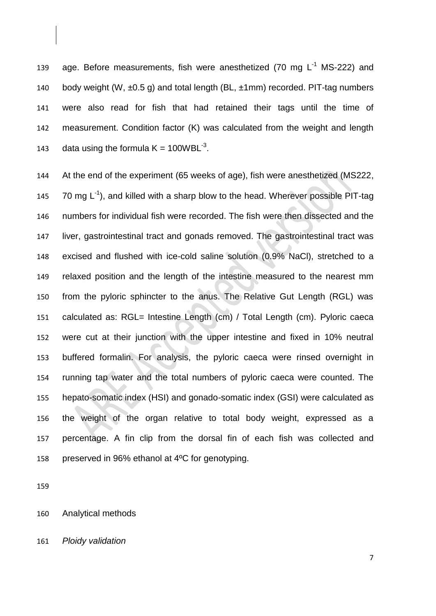139 age. Before measurements, fish were anesthetized (70 mg  $L^{-1}$  MS-222) and 140 body weight (W, ±0.5 g) and total length (BL, ±1mm) recorded. PIT-tag numbers were also read for fish that had retained their tags until the time of measurement. Condition factor (K) was calculated from the weight and length 143 data using the formula  $K = 100WBL^{-3}$ .

 At the end of the experiment (65 weeks of age), fish were anesthetized (MS222,  $\,$  70 mg L<sup>-1</sup>), and killed with a sharp blow to the head. Wherever possible PIT-tag numbers for individual fish were recorded. The fish were then dissected and the liver, gastrointestinal tract and gonads removed. The gastrointestinal tract was excised and flushed with ice-cold saline solution (0.9% NaCl), stretched to a relaxed position and the length of the intestine measured to the nearest mm from the pyloric sphincter to the anus. The Relative Gut Length (RGL) was calculated as: RGL= Intestine Length (cm) / Total Length (cm). Pyloric caeca were cut at their junction with the upper intestine and fixed in 10% neutral buffered formalin. For analysis, the pyloric caeca were rinsed overnight in running tap water and the total numbers of pyloric caeca were counted. The hepato-somatic index (HSI) and gonado-somatic index (GSI) were calculated as the weight of the organ relative to total body weight, expressed as a percentage. A fin clip from the dorsal fin of each fish was collected and preserved in 96% ethanol at 4ºC for genotyping.

Analytical methods

*Ploidy validation*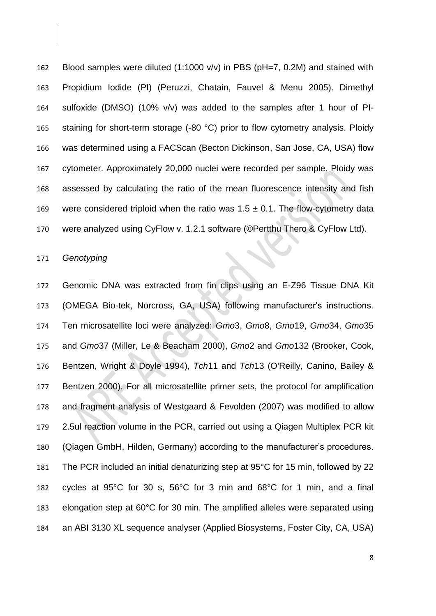Blood samples were diluted (1:1000 v/v) in PBS (pH=7, 0.2M) and stained with Propidium Iodide (PI) (Peruzzi, Chatain, Fauvel & Menu 2005). Dimethyl sulfoxide (DMSO) (10% v/v) was added to the samples after 1 hour of PI-165 staining for short-term storage (-80 °C) prior to flow cytometry analysis. Ploidy was determined using a FACScan (Becton Dickinson, San Jose, CA, USA) flow cytometer. Approximately 20,000 nuclei were recorded per sample. Ploidy was assessed by calculating the ratio of the mean fluorescence intensity and fish 169 were considered triploid when the ratio was  $1.5 \pm 0.1$ . The flow-cytometry data were analyzed using CyFlow v. 1.2.1 software (©Pertthu Thero & CyFlow Ltd).

## *Genotyping*

 Genomic DNA was extracted from fin clips using an E-Z96 Tissue DNA Kit (OMEGA Bio-tek, Norcross, GA, USA) following manufacturer's instructions. Ten microsatellite loci were analyzed: *Gmo*3, *Gmo*8, *Gmo*19, *Gmo*34, *Gmo*35 and *Gmo*37 (Miller, Le & Beacham 2000), *Gmo*2 and *Gmo*132 (Brooker, Cook, Bentzen, Wright & Doyle 1994), *Tch*11 and *Tch*13 (O'Reilly, Canino, Bailey & Bentzen 2000). For all microsatellite primer sets, the protocol for amplification and fragment analysis of Westgaard & Fevolden (2007) was modified to allow 2.5ul reaction volume in the PCR, carried out using a Qiagen Multiplex PCR kit (Qiagen GmbH, Hilden, Germany) according to the manufacturer's procedures. The PCR included an initial denaturizing step at 95°C for 15 min, followed by 22 cycles at 95°C for 30 s, 56°C for 3 min and 68°C for 1 min, and a final elongation step at 60°C for 30 min. The amplified alleles were separated using an ABI 3130 XL sequence analyser (Applied Biosystems, Foster City, CA, USA)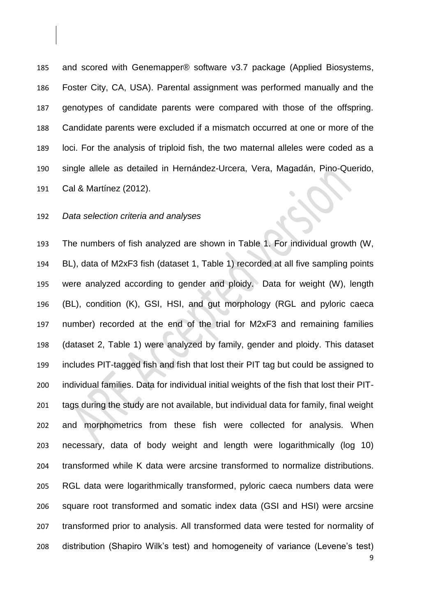and scored with Genemapper® software v3.7 package (Applied Biosystems, Foster City, CA, USA). Parental assignment was performed manually and the genotypes of candidate parents were compared with those of the offspring. Candidate parents were excluded if a mismatch occurred at one or more of the loci. For the analysis of triploid fish, the two maternal alleles were coded as a single allele as detailed in Hernández-Urcera, Vera, Magadán, Pino-Querido, Cal & Martínez (2012).

### *Data selection criteria and analyses*

 The numbers of fish analyzed are shown in Table 1. For individual growth (W, BL), data of M2xF3 fish (dataset 1, Table 1) recorded at all five sampling points were analyzed according to gender and ploidy. Data for weight (W), length (BL), condition (K), GSI, HSI, and gut morphology (RGL and pyloric caeca number) recorded at the end of the trial for M2xF3 and remaining families (dataset 2, Table 1) were analyzed by family, gender and ploidy. This dataset includes PIT-tagged fish and fish that lost their PIT tag but could be assigned to individual families. Data for individual initial weights of the fish that lost their PIT- tags during the study are not available, but individual data for family, final weight and morphometrics from these fish were collected for analysis. When necessary, data of body weight and length were logarithmically (log 10) transformed while K data were arcsine transformed to normalize distributions. RGL data were logarithmically transformed, pyloric caeca numbers data were square root transformed and somatic index data (GSI and HSI) were arcsine transformed prior to analysis. All transformed data were tested for normality of distribution (Shapiro Wilk's test) and homogeneity of variance (Levene's test)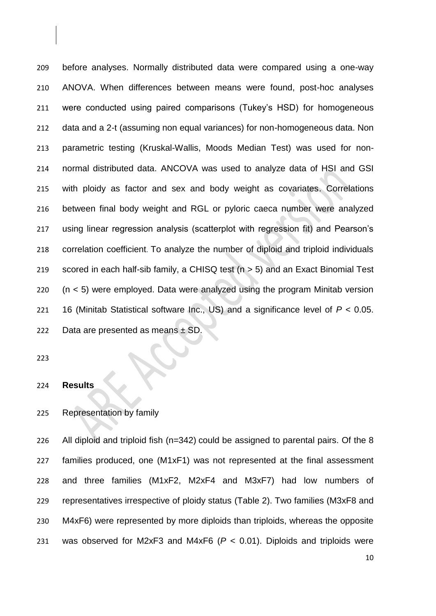before analyses. Normally distributed data were compared using a one-way ANOVA. When differences between means were found, post-hoc analyses were conducted using paired comparisons (Tukey's HSD) for homogeneous data and a 2-t (assuming non equal variances) for non-homogeneous data. Non parametric testing (Kruskal-Wallis, Moods Median Test) was used for non- normal distributed data. ANCOVA was used to analyze data of HSI and GSI with ploidy as factor and sex and body weight as covariates. Correlations between final body weight and RGL or pyloric caeca number were analyzed using linear regression analysis (scatterplot with regression fit) and Pearson's correlation coefficient. To analyze the number of diploid and triploid individuals scored in each half-sib family, a CHISQ test (n > 5) and an Exact Binomial Test (n < 5) were employed. Data were analyzed using the program Minitab version 16 (Minitab Statistical software Inc., US) and a significance level of *P* < 0.05. 222 Data are presented as means  $\pm$  SD.

#### **Results**

# Representation by family

 All diploid and triploid fish (n=342) could be assigned to parental pairs. Of the 8 families produced, one (M1xF1) was not represented at the final assessment and three families (M1xF2, M2xF4 and M3xF7) had low numbers of representatives irrespective of ploidy status (Table 2). Two families (M3xF8 and M4xF6) were represented by more diploids than triploids, whereas the opposite was observed for M2xF3 and M4xF6 (*P* < 0.01). Diploids and triploids were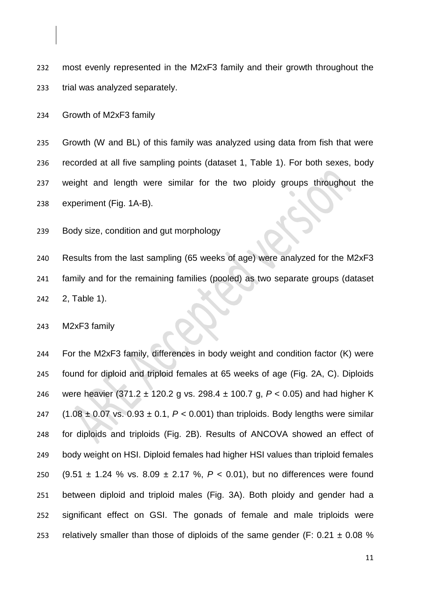most evenly represented in the M2xF3 family and their growth throughout the trial was analyzed separately.

Growth of M2xF3 family

 Growth (W and BL) of this family was analyzed using data from fish that were recorded at all five sampling points (dataset 1, Table 1). For both sexes, body weight and length were similar for the two ploidy groups throughout the experiment (Fig. 1A-B).

Body size, condition and gut morphology

 Results from the last sampling (65 weeks of age) were analyzed for the M2xF3 family and for the remaining families (pooled) as two separate groups (dataset 2, Table 1).

M2xF3 family

 For the M2xF3 family, differences in body weight and condition factor (K) were found for diploid and triploid females at 65 weeks of age (Fig. 2A, C). Diploids were heavier (371.2 ± 120.2 g vs. 298.4 ± 100.7 g, *P* < 0.05) and had higher K  $(1.08 \pm 0.07 \text{ vs. } 0.93 \pm 0.1, P < 0.001)$  than triploids. Body lengths were similar for diploids and triploids (Fig. 2B). Results of ANCOVA showed an effect of body weight on HSI. Diploid females had higher HSI values than triploid females (9.51 ± 1.24 % vs. 8.09 ± 2.17 %, *P* < 0.01), but no differences were found between diploid and triploid males (Fig. 3A). Both ploidy and gender had a significant effect on GSI. The gonads of female and male triploids were 253 relatively smaller than those of diploids of the same gender (F:  $0.21 \pm 0.08$  %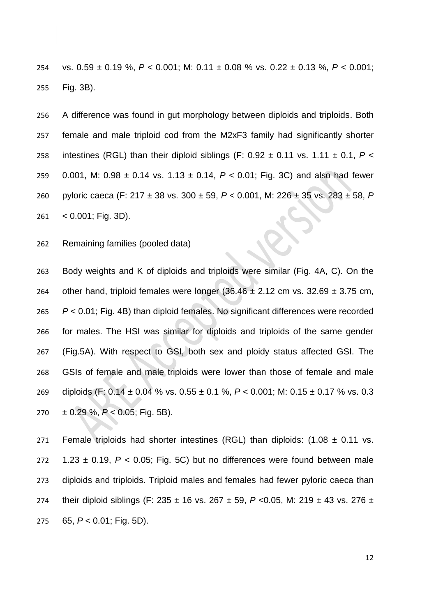vs. 0.59 ± 0.19 %, *P* < 0.001; M: 0.11 ± 0.08 % vs. 0.22 ± 0.13 %, *P* < 0.001; Fig. 3B).

 A difference was found in gut morphology between diploids and triploids. Both female and male triploid cod from the M2xF3 family had significantly shorter 258 intestines (RGL) than their diploid siblings (F:  $0.92 \pm 0.11$  vs.  $1.11 \pm 0.1$ ,  $P \lt \sqrt{2}$  0.001, M: 0.98 ± 0.14 vs. 1.13 ± 0.14, *P* < 0.01; Fig. 3C) and also had fewer pyloric caeca (F: 217 ± 38 vs. 300 ± 59, *P* < 0.001, M: 226 ± 35 vs. 283 ± 58, *P* < 0.001; Fig. 3D).

Remaining families (pooled data)

 Body weights and K of diploids and triploids were similar (Fig. 4A, C). On the 264 other hand, triploid females were longer  $(36.46 \pm 2.12 \text{ cm/s}$ . 32.69  $\pm 3.75 \text{ cm}$ , *P* < 0.01; Fig. 4B) than diploid females. No significant differences were recorded for males. The HSI was similar for diploids and triploids of the same gender (Fig.5A). With respect to GSI, both sex and ploidy status affected GSI. The GSIs of female and male triploids were lower than those of female and male diploids (F: 0.14 ± 0.04 % vs. 0.55 ± 0.1 %, *P* < 0.001; M: 0.15 ± 0.17 % vs. 0.3 ± 0.29 %, *P* < 0.05; Fig. 5B).

271 Female triploids had shorter intestines (RGL) than diploids:  $(1.08 \pm 0.11 \text{ vs.})$  $1.23 \pm 0.19$ ,  $P < 0.05$ ; Fig. 5C) but no differences were found between male diploids and triploids. Triploid males and females had fewer pyloric caeca than their diploid siblings (F: 235 ± 16 vs. 267 ± 59, *P* <0.05, M: 219 ± 43 vs. 276 ± 65, *P* < 0.01; Fig. 5D).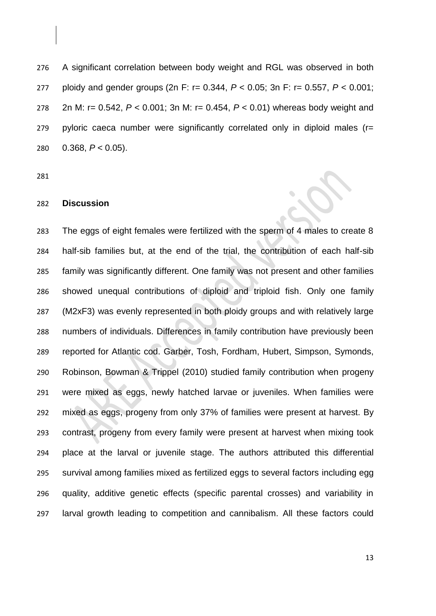A significant correlation between body weight and RGL was observed in both ploidy and gender groups (2n F: r= 0.344, *P* < 0.05; 3n F: r= 0.557, *P* < 0.001; 2n M: r= 0.542, *P* < 0.001; 3n M: r= 0.454, *P* < 0.01) whereas body weight and pyloric caeca number were significantly correlated only in diploid males (r= 0.368, *P* < 0.05).

### **Discussion**

 The eggs of eight females were fertilized with the sperm of 4 males to create 8 half-sib families but, at the end of the trial, the contribution of each half-sib family was significantly different. One family was not present and other families showed unequal contributions of diploid and triploid fish. Only one family (M2xF3) was evenly represented in both ploidy groups and with relatively large numbers of individuals. Differences in family contribution have previously been reported for Atlantic cod. Garber, Tosh, Fordham, Hubert, Simpson, Symonds, Robinson, Bowman & Trippel (2010) studied family contribution when progeny were mixed as eggs, newly hatched larvae or juveniles. When families were mixed as eggs, progeny from only 37% of families were present at harvest. By contrast, progeny from every family were present at harvest when mixing took place at the larval or juvenile stage. The authors attributed this differential survival among families mixed as fertilized eggs to several factors including egg quality, additive genetic effects (specific parental crosses) and variability in larval growth leading to competition and cannibalism. All these factors could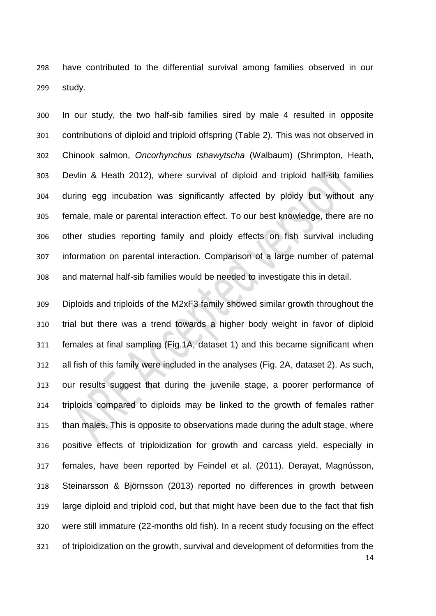have contributed to the differential survival among families observed in our study.

 In our study, the two half-sib families sired by male 4 resulted in opposite contributions of diploid and triploid offspring (Table 2). This was not observed in Chinook salmon, *Oncorhynchus tshawytscha* (Walbaum) (Shrimpton, Heath, Devlin & Heath 2012), where survival of diploid and triploid half-sib families during egg incubation was significantly affected by ploidy but without any female, male or parental interaction effect. To our best knowledge, there are no other studies reporting family and ploidy effects on fish survival including information on parental interaction. Comparison of a large number of paternal and maternal half-sib families would be needed to investigate this in detail.

 Diploids and triploids of the M2xF3 family showed similar growth throughout the trial but there was a trend towards a higher body weight in favor of diploid females at final sampling (Fig.1A, dataset 1) and this became significant when all fish of this family were included in the analyses (Fig. 2A, dataset 2). As such, our results suggest that during the juvenile stage, a poorer performance of triploids compared to diploids may be linked to the growth of females rather than males. This is opposite to observations made during the adult stage, where positive effects of triploidization for growth and carcass yield, especially in females, have been reported by Feindel et al. (2011). Derayat, Magnússon, Steinarsson & Björnsson (2013) reported no differences in growth between large diploid and triploid cod, but that might have been due to the fact that fish were still immature (22-months old fish). In a recent study focusing on the effect of triploidization on the growth, survival and development of deformities from the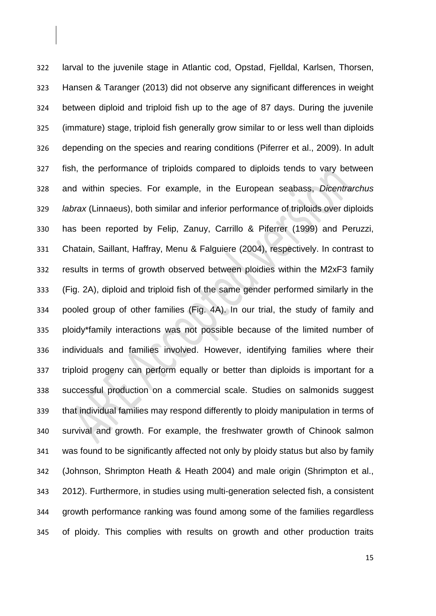larval to the juvenile stage in Atlantic cod, Opstad, Fjelldal, Karlsen, Thorsen, Hansen & Taranger (2013) did not observe any significant differences in weight between diploid and triploid fish up to the age of 87 days. During the juvenile (immature) stage, triploid fish generally grow similar to or less well than diploids depending on the species and rearing conditions (Piferrer et al., 2009). In adult fish, the performance of triploids compared to diploids tends to vary between and within species. For example, in the European seabass, *Dicentrarchus labrax* (Linnaeus), both similar and inferior performance of triploids over diploids has been reported by Felip, Zanuy, Carrillo & Piferrer (1999) and Peruzzi, Chatain, Saillant, Haffray, Menu & Falguiere (2004), respectively. In contrast to results in terms of growth observed between ploidies within the M2xF3 family (Fig. 2A), diploid and triploid fish of the same gender performed similarly in the pooled group of other families (Fig. 4A). In our trial, the study of family and ploidy\*family interactions was not possible because of the limited number of individuals and families involved. However, identifying families where their triploid progeny can perform equally or better than diploids is important for a successful production on a commercial scale. Studies on salmonids suggest that individual families may respond differently to ploidy manipulation in terms of survival and growth. For example, the freshwater growth of Chinook salmon was found to be significantly affected not only by ploidy status but also by family (Johnson, Shrimpton Heath & Heath 2004) and male origin (Shrimpton et al., 2012). Furthermore, in studies using multi-generation selected fish, a consistent growth performance ranking was found among some of the families regardless of ploidy. This complies with results on growth and other production traits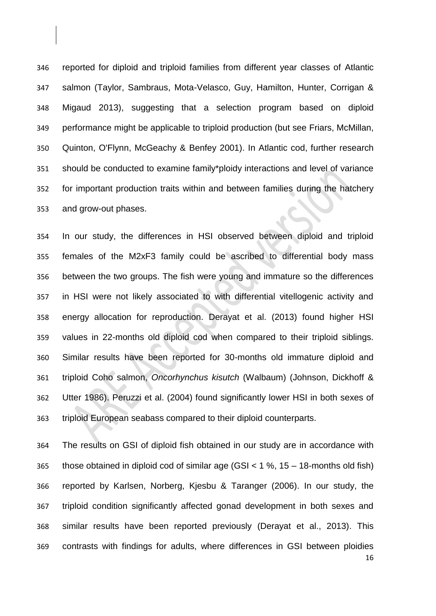reported for diploid and triploid families from different year classes of Atlantic salmon (Taylor, Sambraus, Mota-Velasco, Guy, Hamilton, Hunter, Corrigan & Migaud 2013), suggesting that a selection program based on diploid performance might be applicable to triploid production (but see Friars, McMillan, Quinton, O'Flynn, McGeachy & Benfey 2001). In Atlantic cod, further research should be conducted to examine family\*ploidy interactions and level of variance for important production traits within and between families during the hatchery and grow-out phases.

 In our study, the differences in HSI observed between diploid and triploid females of the M2xF3 family could be ascribed to differential body mass between the two groups. The fish were young and immature so the differences in HSI were not likely associated to with differential vitellogenic activity and energy allocation for reproduction. Derayat et al. (2013) found higher HSI values in 22-months old diploid cod when compared to their triploid siblings. Similar results have been reported for 30-months old immature diploid and triploid Coho salmon, *Oncorhynchus kisutch* (Walbaum) (Johnson, Dickhoff & Utter 1986). Peruzzi et al. (2004) found significantly lower HSI in both sexes of triploid European seabass compared to their diploid counterparts.

 The results on GSI of diploid fish obtained in our study are in accordance with those obtained in diploid cod of similar age (GSI < 1 %, 15 – 18-months old fish) reported by Karlsen, Norberg, Kjesbu & Taranger (2006). In our study, the triploid condition significantly affected gonad development in both sexes and similar results have been reported previously (Derayat et al., 2013). This contrasts with findings for adults, where differences in GSI between ploidies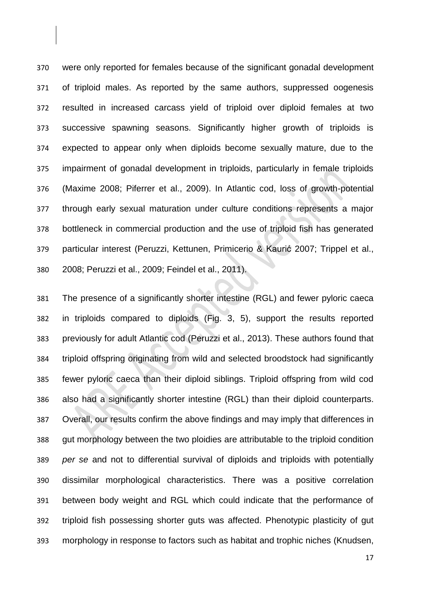were only reported for females because of the significant gonadal development of triploid males. As reported by the same authors, suppressed oogenesis resulted in increased carcass yield of triploid over diploid females at two successive spawning seasons. Significantly higher growth of triploids is expected to appear only when diploids become sexually mature, due to the impairment of gonadal development in triploids, particularly in female triploids (Maxime 2008; Piferrer et al., 2009). In Atlantic cod, loss of growth-potential through early sexual maturation under culture conditions represents a major bottleneck in commercial production and the use of triploid fish has generated particular interest (Peruzzi, Kettunen, Primicerio & Kaurić 2007; Trippel et al., 2008; Peruzzi et al., 2009; Feindel et al., 2011).

 The presence of a significantly shorter intestine (RGL) and fewer pyloric caeca in triploids compared to diploids (Fig. 3, 5), support the results reported previously for adult Atlantic cod (Peruzzi et al., 2013). These authors found that triploid offspring originating from wild and selected broodstock had significantly fewer pyloric caeca than their diploid siblings. Triploid offspring from wild cod also had a significantly shorter intestine (RGL) than their diploid counterparts. Overall, our results confirm the above findings and may imply that differences in gut morphology between the two ploidies are attributable to the triploid condition *per se* and not to differential survival of diploids and triploids with potentially dissimilar morphological characteristics. There was a positive correlation between body weight and RGL which could indicate that the performance of triploid fish possessing shorter guts was affected. Phenotypic plasticity of gut morphology in response to factors such as habitat and trophic niches (Knudsen,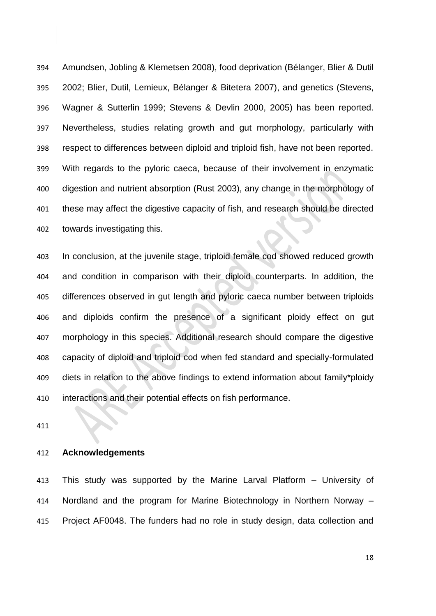Amundsen, Jobling & Klemetsen 2008), food deprivation (Bélanger, Blier & Dutil 2002; Blier, Dutil, Lemieux, Bélanger & Bitetera 2007), and genetics (Stevens, Wagner & Sutterlin 1999; Stevens & Devlin 2000, 2005) has been reported. Nevertheless, studies relating growth and gut morphology, particularly with respect to differences between diploid and triploid fish, have not been reported. With regards to the pyloric caeca, because of their involvement in enzymatic digestion and nutrient absorption (Rust 2003), any change in the morphology of these may affect the digestive capacity of fish, and research should be directed towards investigating this.

 In conclusion, at the juvenile stage, triploid female cod showed reduced growth and condition in comparison with their diploid counterparts. In addition, the differences observed in gut length and pyloric caeca number between triploids and diploids confirm the presence of a significant ploidy effect on gut morphology in this species. Additional research should compare the digestive capacity of diploid and triploid cod when fed standard and specially-formulated diets in relation to the above findings to extend information about family\*ploidy interactions and their potential effects on fish performance.

## **Acknowledgements**

 This study was supported by the Marine Larval Platform – University of Nordland and the program for Marine Biotechnology in Northern Norway – Project AF0048. The funders had no role in study design, data collection and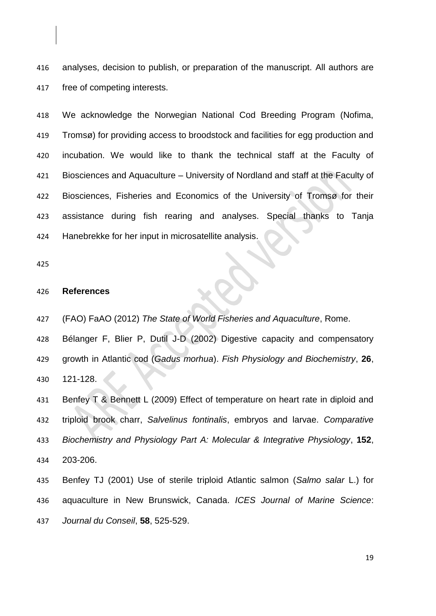analyses, decision to publish, or preparation of the manuscript. All authors are free of competing interests.

 We acknowledge the Norwegian National Cod Breeding Program (Nofima, Tromsø) for providing access to broodstock and facilities for egg production and incubation. We would like to thank the technical staff at the Faculty of Biosciences and Aquaculture – University of Nordland and staff at the Faculty of Biosciences, Fisheries and Economics of the University of Tromsø for their assistance during fish rearing and analyses. Special thanks to Tanja Hanebrekke for her input in microsatellite analysis.

#### **References**

(FAO) FaAO (2012) *The State of World Fisheries and Aquaculture*, Rome.

 Bélanger F, Blier P, Dutil J-D (2002) Digestive capacity and compensatory growth in Atlantic cod (*Gadus morhua*). *Fish Physiology and Biochemistry*, **26**, 121-128.

 Benfey T & Bennett L (2009) Effect of temperature on heart rate in diploid and triploid brook charr, *Salvelinus fontinalis*, embryos and larvae. *Comparative Biochemistry and Physiology Part A: Molecular & Integrative Physiology*, **152**, 203-206.

 Benfey TJ (2001) Use of sterile triploid Atlantic salmon (*Salmo salar* L.) for aquaculture in New Brunswick, Canada. *ICES Journal of Marine Science*: *Journal du Conseil*, **58**, 525-529.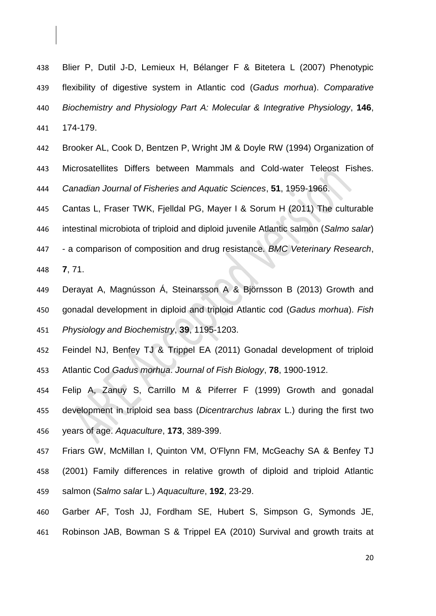Blier P, Dutil J-D, Lemieux H, Bélanger F & Bitetera L (2007) Phenotypic flexibility of digestive system in Atlantic cod (*Gadus morhua*). *Comparative Biochemistry and Physiology Part A: Molecular & Integrative Physiology*, **146**, 174-179.

 Brooker AL, Cook D, Bentzen P, Wright JM & Doyle RW (1994) Organization of Microsatellites Differs between Mammals and Cold-water Teleost Fishes. *Canadian Journal of Fisheries and Aquatic Sciences*, **51**, 1959-1966.

 Cantas L, Fraser TWK, Fjelldal PG, Mayer I & Sorum H (2011) The culturable intestinal microbiota of triploid and diploid juvenile Atlantic salmon (*Salmo salar*) - a comparison of composition and drug resistance. *BMC Veterinary Research*, **7**, 71.

- Derayat A, Magnússon Á, Steinarsson A & Björnsson B (2013) Growth and gonadal development in diploid and triploid Atlantic cod (*Gadus morhua*). *Fish Physiology and Biochemistry*, **39**, 1195-1203.
- Feindel NJ, Benfey TJ & Trippel EA (2011) Gonadal development of triploid Atlantic Cod *Gadus morhua*. *Journal of Fish Biology*, **78**, 1900-1912.
- Felip A, Zanuy S, Carrillo M & Piferrer F (1999) Growth and gonadal development in triploid sea bass (*Dicentrarchus labrax* L.) during the first two years of age. *Aquaculture*, **173**, 389-399.

 Friars GW, McMillan I, Quinton VM, O'Flynn FM, McGeachy SA & Benfey TJ (2001) Family differences in relative growth of diploid and triploid Atlantic salmon (*Salmo salar* L.) *Aquaculture*, **192**, 23-29.

 Garber AF, Tosh JJ, Fordham SE, Hubert S, Simpson G, Symonds JE, Robinson JAB, Bowman S & Trippel EA (2010) Survival and growth traits at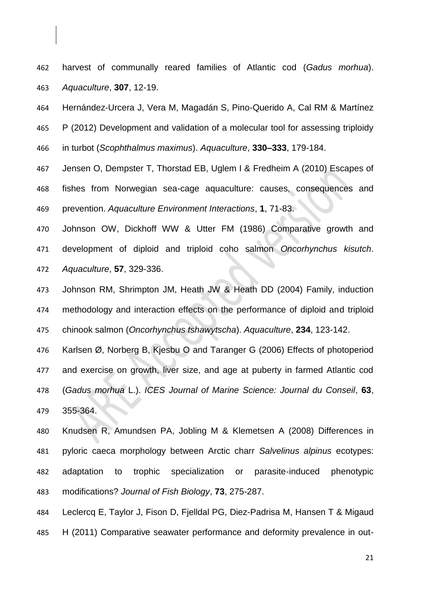- harvest of communally reared families of Atlantic cod (*Gadus morhua*). *Aquaculture*, **307**, 12-19.
- Hernández-Urcera J, Vera M, Magadán S, Pino-Querido A, Cal RM & Martínez
- P (2012) Development and validation of a molecular tool for assessing triploidy in turbot (*Scophthalmus maximus*). *Aquaculture*, **330–333**, 179-184.
- Jensen O, Dempster T, Thorstad EB, Uglem I & Fredheim A (2010) Escapes of fishes from Norwegian sea-cage aquaculture: causes, consequences and prevention. *Aquaculture Environment Interactions*, **1**, 71-83.
- Johnson OW, Dickhoff WW & Utter FM (1986) Comparative growth and development of diploid and triploid coho salmon *Oncorhynchus kisutch*. *Aquaculture*, **57**, 329-336.
- Johnson RM, Shrimpton JM, Heath JW & Heath DD (2004) Family, induction methodology and interaction effects on the performance of diploid and triploid chinook salmon (*Oncorhynchus tshawytscha*). *Aquaculture*, **234**, 123-142.
- Karlsen Ø, Norberg B, Kjesbu O and Taranger G (2006) Effects of photoperiod and exercise on growth, liver size, and age at puberty in farmed Atlantic cod (*Gadus morhua* L.). *ICES Journal of Marine Science: Journal du Conseil*, **63**, 355-364.
- Knudsen R, Amundsen PA, Jobling M & Klemetsen A (2008) Differences in pyloric caeca morphology between Arctic charr *Salvelinus alpinus* ecotypes: adaptation to trophic specialization or parasite‐induced phenotypic modifications? *Journal of Fish Biology*, **73**, 275-287.
- Leclercq E, Taylor J, Fison D, Fjelldal PG, Diez-Padrisa M, Hansen T & Migaud H (2011) Comparative seawater performance and deformity prevalence in out-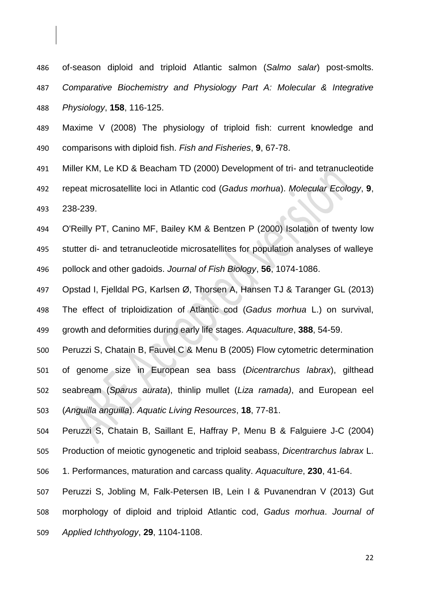of-season diploid and triploid Atlantic salmon (*Salmo salar*) post-smolts. *Comparative Biochemistry and Physiology Part A: Molecular & Integrative Physiology*, **158**, 116-125.

 Maxime V (2008) The physiology of triploid fish: current knowledge and comparisons with diploid fish. *Fish and Fisheries*, **9**, 67-78.

 Miller KM, Le KD & Beacham TD (2000) Development of tri- and tetranucleotide repeat microsatellite loci in Atlantic cod (*Gadus morhua*). *Molecular Ecology*, **9**, 238-239.

 O'Reilly PT, Canino MF, Bailey KM & Bentzen P (2000) Isolation of twenty low stutter di- and tetranucleotide microsatellites for population analyses of walleye pollock and other gadoids. *Journal of Fish Biology*, **56**, 1074-1086.

 Opstad I, Fjelldal PG, Karlsen Ø, Thorsen A, Hansen TJ & Taranger GL (2013) The effect of triploidization of Atlantic cod (*Gadus morhua* L.) on survival, growth and deformities during early life stages. *Aquaculture*, **388**, 54-59.

 Peruzzi S, Chatain B, Fauvel C & Menu B (2005) Flow cytometric determination of genome size in European sea bass (*Dicentrarchus labrax*), gilthead seabream (*Sparus aurata*), thinlip mullet (*Liza ramada)*, and European eel (*Anguilla anguilla*). *Aquatic Living Resources*, **18**, 77-81.

 Peruzzi S, Chatain B, Saillant E, Haffray P, Menu B & Falguiere J-C (2004) Production of meiotic gynogenetic and triploid seabass, *Dicentrarchus labrax* L.

1. Performances, maturation and carcass quality. *Aquaculture*, **230**, 41-64.

 Peruzzi S, Jobling M, Falk‐Petersen IB, Lein I & Puvanendran V (2013) Gut morphology of diploid and triploid Atlantic cod, *Gadus morhua*. *Journal of Applied Ichthyology*, **29**, 1104-1108.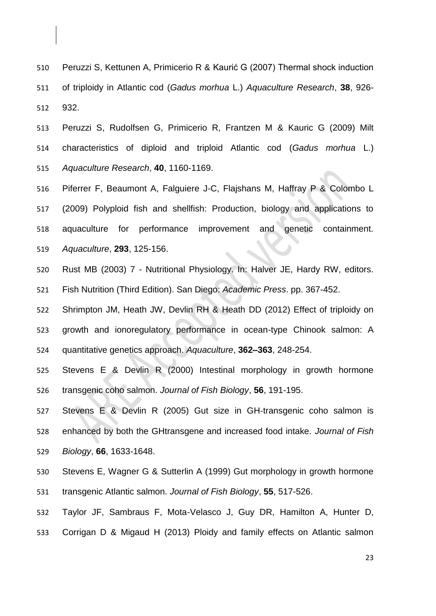Peruzzi S, Kettunen A, Primicerio R & Kaurić G (2007) Thermal shock induction of triploidy in Atlantic cod (*Gadus morhua* L.) *Aquaculture Research*, **38**, 926- 932.

 Peruzzi S, Rudolfsen G, Primicerio R, Frantzen M & Kauric G (2009) Milt characteristics of diploid and triploid Atlantic cod (*Gadus morhua* L.) *Aquaculture Research*, **40**, 1160-1169.

 Piferrer F, Beaumont A, Falguiere J-C, Flajshans M, Haffray P & Colombo L (2009) Polyploid fish and shellfish: Production, biology and applications to aquaculture for performance improvement and genetic containment. *Aquaculture*, **293**, 125-156.

 Rust MB (2003) 7 - Nutritional Physiology. In: Halver JE, Hardy RW, editors. Fish Nutrition (Third Edition). San Diego: *Academic Press*. pp. 367-452.

 Shrimpton JM, Heath JW, Devlin RH & Heath DD (2012) Effect of triploidy on growth and ionoregulatory performance in ocean-type Chinook salmon: A quantitative genetics approach. *Aquaculture*, **362–363**, 248-254.

 Stevens E & Devlin R (2000) Intestinal morphology in growth hormone transgenic coho salmon. *Journal of Fish Biology*, **56**, 191-195.

527 Stevens E & Devlin R (2005) Gut size in GH-transgenic coho salmon is enhanced by both the GHtransgene and increased food intake. *Journal of Fish Biology*, **66**, 1633-1648.

 Stevens E, Wagner G & Sutterlin A (1999) Gut morphology in growth hormone transgenic Atlantic salmon. *Journal of Fish Biology*, **55**, 517-526.

 Taylor JF, Sambraus F, Mota-Velasco J, Guy DR, Hamilton A, Hunter D, Corrigan D & Migaud H (2013) Ploidy and family effects on Atlantic salmon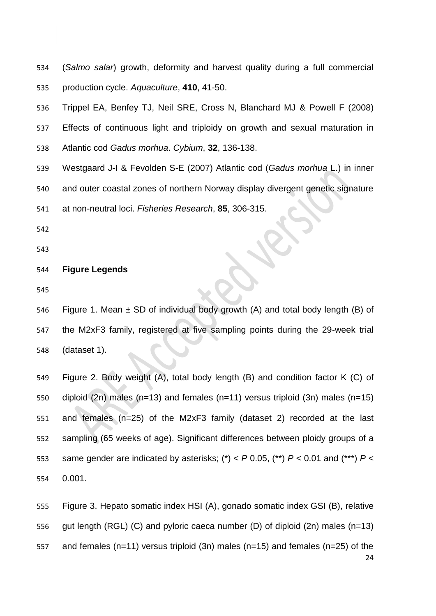(*Salmo salar*) growth, deformity and harvest quality during a full commercial production cycle. *Aquaculture*, **410**, 41-50.

 Trippel EA, Benfey TJ, Neil SRE, Cross N, Blanchard MJ & Powell F (2008) Effects of continuous light and triploidy on growth and sexual maturation in Atlantic cod *Gadus morhua*. *Cybium*, **32**, 136-138.

- Westgaard J-I & Fevolden S-E (2007) Atlantic cod (*Gadus morhua* L.) in inner and outer coastal zones of northern Norway display divergent genetic signature
- at non-neutral loci. *Fisheries Research*, **85**, 306-315.
- 
- 

## **Figure Legends**

546 Figure 1. Mean  $\pm$  SD of individual body growth (A) and total body length (B) of the M2xF3 family, registered at five sampling points during the 29-week trial (dataset 1).

 Figure 2. Body weight (A), total body length (B) and condition factor K (C) of diploid (2n) males (n=13) and females (n=11) versus triploid (3n) males (n=15) and females (n=25) of the M2xF3 family (dataset 2) recorded at the last sampling (65 weeks of age). Significant differences between ploidy groups of a 553 same gender are indicated by asterisks;  $(*)$  <  $P$  0.05,  $(**)$   $P$  < 0.01 and  $(***)$   $P$  < 0.001.

 Figure 3. Hepato somatic index HSI (A), gonado somatic index GSI (B), relative gut length (RGL) (C) and pyloric caeca number (D) of diploid (2n) males (n=13) and females (n=11) versus triploid (3n) males (n=15) and females (n=25) of the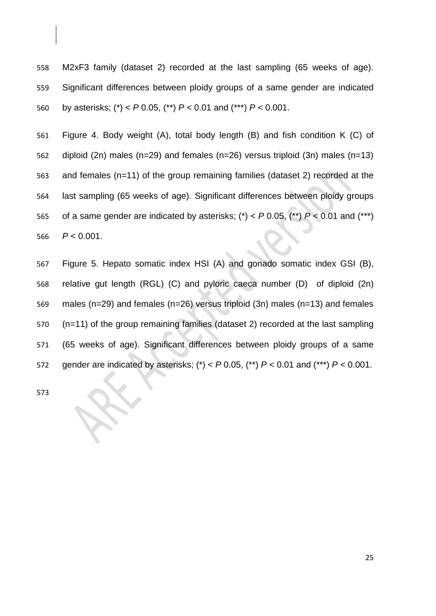M2xF3 family (dataset 2) recorded at the last sampling (65 weeks of age). Significant differences between ploidy groups of a same gender are indicated by asterisks; (\*) < *P* 0.05, (\*\*) *P* < 0.01 and (\*\*\*) *P* < 0.001.

 Figure 4. Body weight (A), total body length (B) and fish condition K (C) of diploid (2n) males (n=29) and females (n=26) versus triploid (3n) males (n=13) and females (n=11) of the group remaining families (dataset 2) recorded at the last sampling (65 weeks of age). Significant differences between ploidy groups 565 of a same gender are indicated by asterisks;  $({*)} < P$  0.05,  $({**})$   $P < 0.01$  and  $({**})$ *P* < 0.001.

 Figure 5. Hepato somatic index HSI (A) and gonado somatic index GSI (B), relative gut length (RGL) (C) and pyloric caeca number (D) of diploid (2n) males (n=29) and females (n=26) versus triploid (3n) males (n=13) and females (n=11) of the group remaining families (dataset 2) recorded at the last sampling (65 weeks of age). Significant differences between ploidy groups of a same gender are indicated by asterisks; (\*) < *P* 0.05, (\*\*) *P* < 0.01 and (\*\*\*) *P* < 0.001.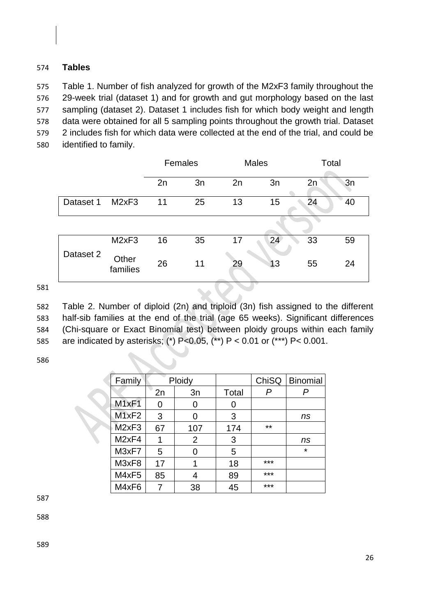# 574 **Tables**

 Table 1. Number of fish analyzed for growth of the M2xF3 family throughout the 29-week trial (dataset 1) and for growth and gut morphology based on the last sampling (dataset 2). Dataset 1 includes fish for which body weight and length data were obtained for all 5 sampling points throughout the growth trial. Dataset 2 includes fish for which data were collected at the end of the trial, and could be identified to family.

| 2n<br>3n |
|----------|
|          |
| 40<br>24 |
|          |
| 33<br>59 |
| 24<br>55 |
|          |

581

 Table 2. Number of diploid (2n) and triploid (3n) fish assigned to the different half-sib families at the end of the trial (age 65 weeks). Significant differences (Chi-square or Exact Binomial test) between ploidy groups within each family are indicated by asterisks; (\*) P<0.05, (\*\*) P < 0.01 or (\*\*\*) P< 0.001.

586

| Family            | Ploidy |     |       |       | ChiSQ   Binomial |
|-------------------|--------|-----|-------|-------|------------------|
|                   | 2n     | 3n  | Total | P     |                  |
| M <sub>1xF1</sub> | ი      |     |       |       |                  |
| M1xF2             | 3      | 0   | 3     |       | ns               |
| M <sub>2xF3</sub> | 67     | 107 | 174   | $***$ |                  |
| M <sub>2xF4</sub> |        | 2   | 3     |       | ns               |
| M3xF7             | 5      |     | 5     |       | $\star$          |
| M3xF8             | 17     |     | 18    | ***   |                  |
| M4xF5             | 85     |     | 89    | ***   |                  |
| M4xF6             |        | 38  | 45    | ***   |                  |

587

588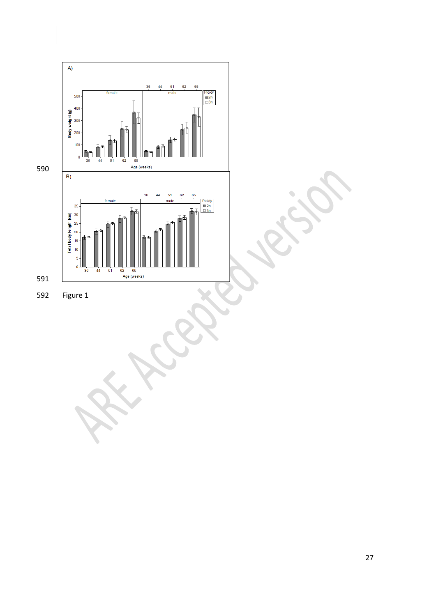

 $\overline{\phantom{a}}$ 

Figure 1

 $\overline{\phantom{0}}$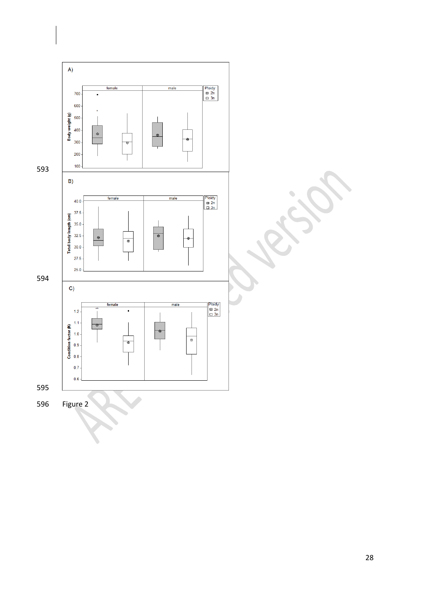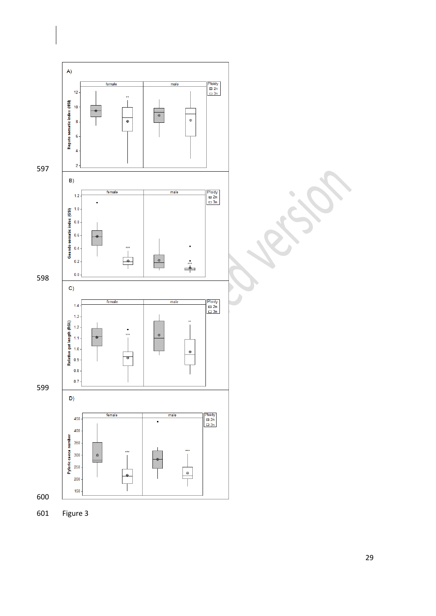

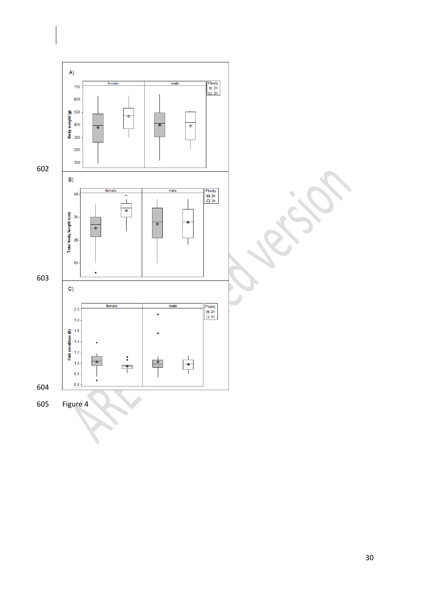